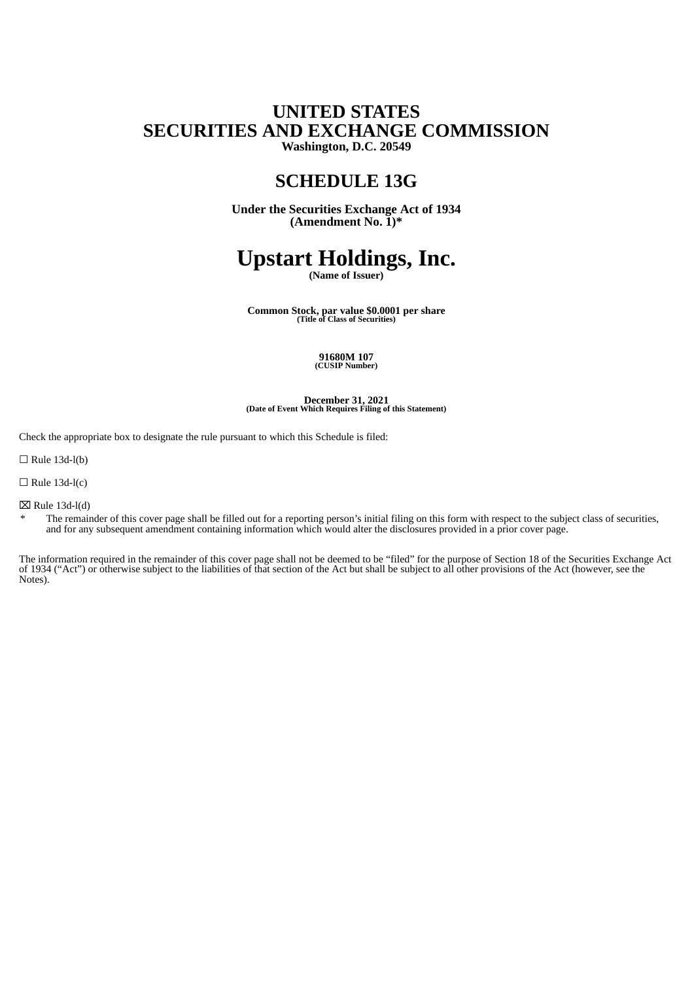## **UNITED STATES SECURITIES AND EXCHANGE COMMISSION Washington, D.C. 20549**

## **SCHEDULE 13G**

**Under the Securities Exchange Act of 1934 (Amendment No. 1)\***

# **Upstart Holdings, Inc.**

**(Name of Issuer)**

**Common Stock, par value \$0.0001 per share (Title of Class of Securities)**

## **91680M 107 (CUSIP Number)**

**December 31, 2021 (Date of Event Which Requires Filing of this Statement)**

Check the appropriate box to designate the rule pursuant to which this Schedule is filed:

 $\Box$  Rule 13d-l(b)

 $\Box$  Rule 13d-l(c)

 $\boxtimes$  Rule 13d-l(d)

\* The remainder of this cover page shall be filled out for a reporting person's initial filing on this form with respect to the subject class of securities, and for any subsequent amendment containing information which would alter the disclosures provided in a prior cover page.

The information required in the remainder of this cover page shall not be deemed to be "filed" for the purpose of Section 18 of the Securities Exchange Act of 1934 ("Act") or otherwise subject to the liabilities of that section of the Act but shall be subject to all other provisions of the Act (however, see the Notes).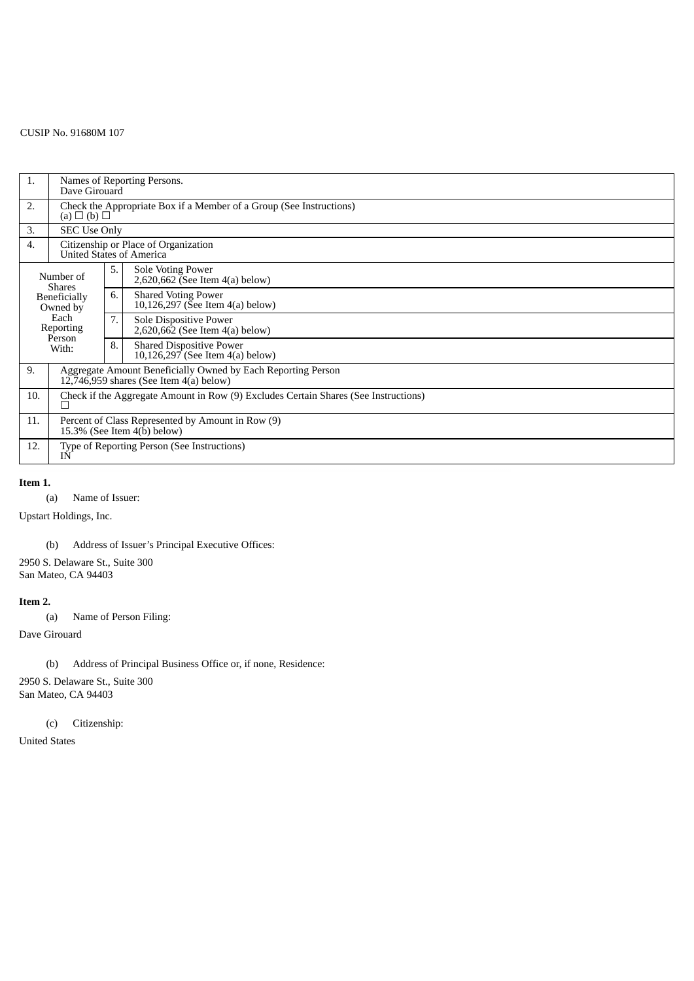### CUSIP No. 91680M 107

| 1.                                                                                             | Names of Reporting Persons.<br>Dave Girouard                                                                |    |                                                                     |  |  |  |
|------------------------------------------------------------------------------------------------|-------------------------------------------------------------------------------------------------------------|----|---------------------------------------------------------------------|--|--|--|
| 2.                                                                                             | Check the Appropriate Box if a Member of a Group (See Instructions)<br>$(a) \Box (b) \Box$                  |    |                                                                     |  |  |  |
| 3.                                                                                             | <b>SEC Use Only</b>                                                                                         |    |                                                                     |  |  |  |
| 4.                                                                                             | Citizenship or Place of Organization<br>United States of America                                            |    |                                                                     |  |  |  |
| Number of<br><b>Shares</b><br>Beneficially<br>Owned by<br>Each<br>Reporting<br>Person<br>With: |                                                                                                             | 5. | Sole Voting Power<br>2,620,662 (See Item $4(a)$ below)              |  |  |  |
|                                                                                                |                                                                                                             | 6. | <b>Shared Voting Power</b><br>10,126,297 (See Item 4(a) below)      |  |  |  |
|                                                                                                |                                                                                                             | 7. | Sole Dispositive Power<br>2,620,662 (See Item 4(a) below)           |  |  |  |
|                                                                                                |                                                                                                             | 8. | <b>Shared Dispositive Power</b><br>10,126,297 (See Item 4(a) below) |  |  |  |
| 9.                                                                                             | Aggregate Amount Beneficially Owned by Each Reporting Person<br>$12,746,959$ shares (See Item $4(a)$ below) |    |                                                                     |  |  |  |
| 10.                                                                                            | Check if the Aggregate Amount in Row (9) Excludes Certain Shares (See Instructions)<br>$\perp$              |    |                                                                     |  |  |  |
| 11.                                                                                            | Percent of Class Represented by Amount in Row (9)<br>15.3% (See Item $4(\bar{b})$ below)                    |    |                                                                     |  |  |  |
| 12.                                                                                            | Type of Reporting Person (See Instructions)<br>ΙN                                                           |    |                                                                     |  |  |  |

#### **Item 1.**

(a) Name of Issuer:

Upstart Holdings, Inc.

(b) Address of Issuer's Principal Executive Offices:

2950 S. Delaware St., Suite 300 San Mateo, CA 94403

#### **Item 2.**

(a) Name of Person Filing:

Dave Girouard

(b) Address of Principal Business Office or, if none, Residence:

2950 S. Delaware St., Suite 300 San Mateo, CA 94403

(c) Citizenship:

United States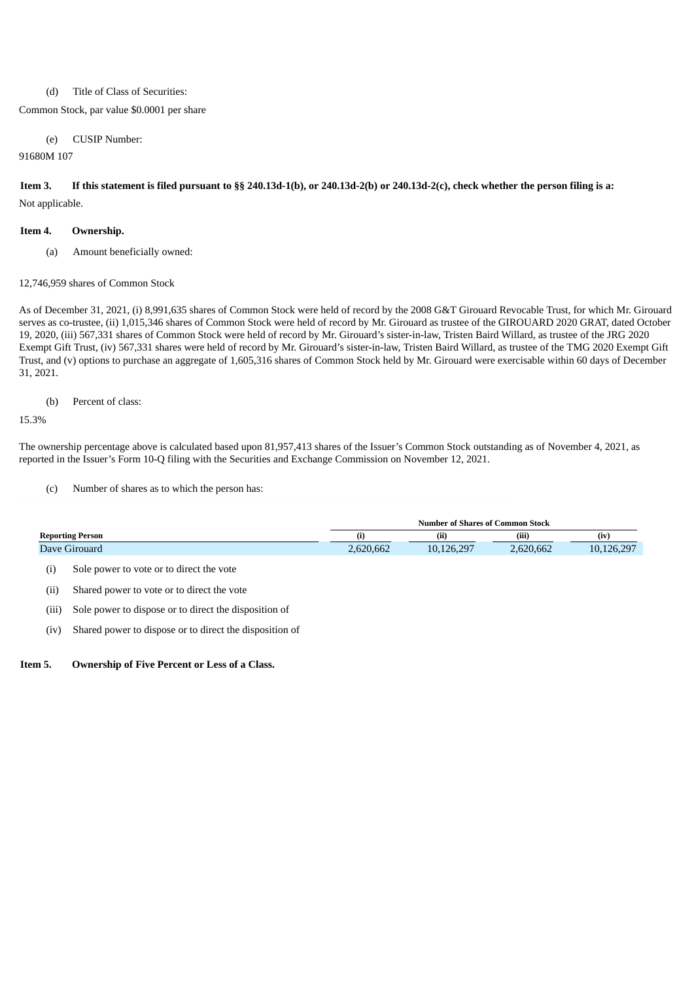#### (d) Title of Class of Securities:

#### Common Stock, par value \$0.0001 per share

(e) CUSIP Number:

#### 91680M 107

Item 3. If this statement is filed pursuant to §§ 240.13d-1(b), or 240.13d-2(b) or 240.13d-2(c), check whether the person filing is a: Not applicable.

#### **Item 4. Ownership.**

(a) Amount beneficially owned:

#### 12,746,959 shares of Common Stock

As of December 31, 2021, (i) 8,991,635 shares of Common Stock were held of record by the 2008 G&T Girouard Revocable Trust, for which Mr. Girouard serves as co-trustee, (ii) 1,015,346 shares of Common Stock were held of record by Mr. Girouard as trustee of the GIROUARD 2020 GRAT, dated October 19, 2020, (iii) 567,331 shares of Common Stock were held of record by Mr. Girouard's sister-in-law, Tristen Baird Willard, as trustee of the JRG 2020 Exempt Gift Trust, (iv) 567,331 shares were held of record by Mr. Girouard's sister-in-law, Tristen Baird Willard, as trustee of the TMG 2020 Exempt Gift Trust, and (v) options to purchase an aggregate of 1,605,316 shares of Common Stock held by Mr. Girouard were exercisable within 60 days of December 31, 2021.

(b) Percent of class:

15.3%

The ownership percentage above is calculated based upon 81,957,413 shares of the Issuer's Common Stock outstanding as of November 4, 2021, as reported in the Issuer's Form 10-Q filing with the Securities and Exchange Commission on November 12, 2021.

(c) Number of shares as to which the person has:

|                         | <b>Number of Shares of Common Stock</b> |            |           |            |
|-------------------------|-----------------------------------------|------------|-----------|------------|
| <b>Reporting Person</b> | (i)                                     | (ii)       | (iii)     | (iv)       |
| Dave Girouard           | 2,620,662                               | 10,126,297 | 2,620,662 | 10,126,297 |

(i) Sole power to vote or to direct the vote

- (ii) Shared power to vote or to direct the vote
- (iii) Sole power to dispose or to direct the disposition of
- (iv) Shared power to dispose or to direct the disposition of

**Item 5. Ownership of Five Percent or Less of a Class.**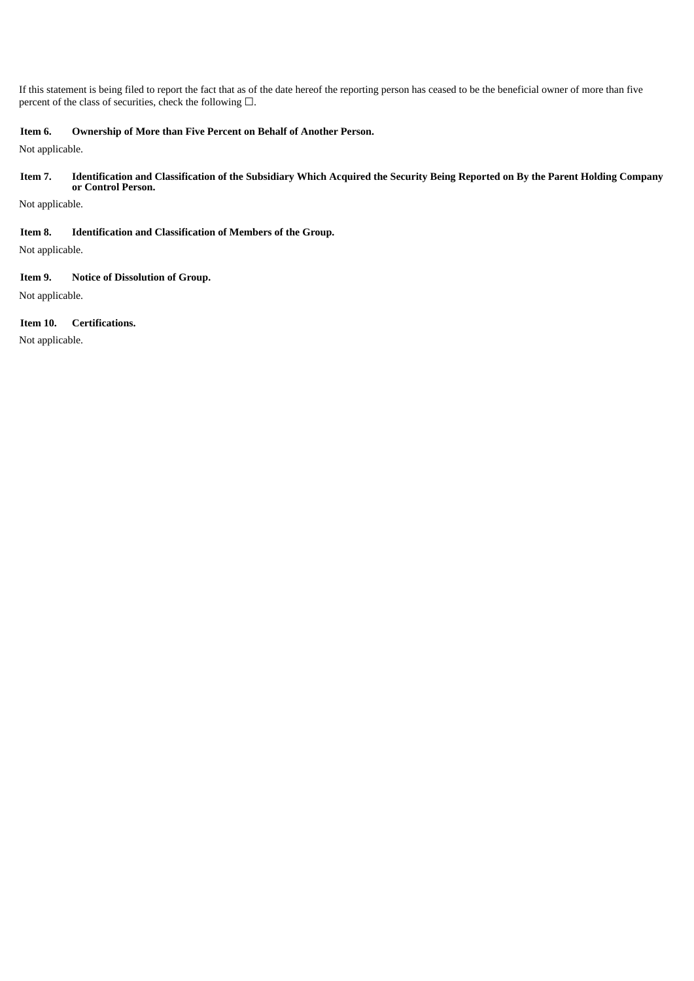If this statement is being filed to report the fact that as of the date hereof the reporting person has ceased to be the beneficial owner of more than five percent of the class of securities, check the following  $\Box$ .

#### **Item 6. Ownership of More than Five Percent on Behalf of Another Person.**

Not applicable.

#### Item 7. Identification and Classification of the Subsidiary Which Acquired the Security Being Reported on By the Parent Holding Company **or Control Person.**

Not applicable.

#### **Item 8. Identification and Classification of Members of the Group.**

Not applicable.

#### **Item 9. Notice of Dissolution of Group.**

Not applicable.

#### **Item 10. Certifications.**

Not applicable.